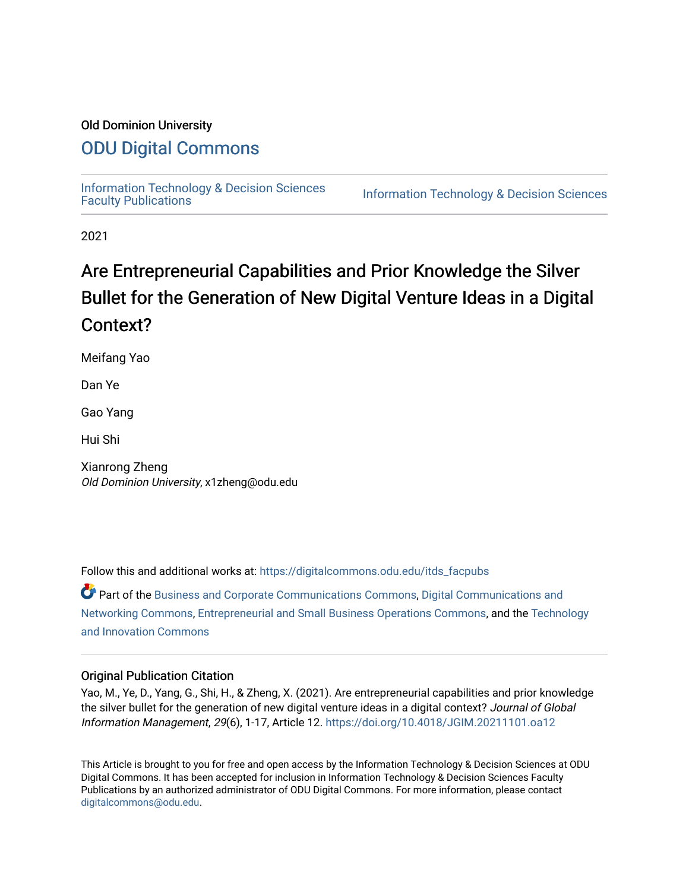# Old Dominion University

# [ODU Digital Commons](https://digitalcommons.odu.edu/)

[Information Technology & Decision Sciences](https://digitalcommons.odu.edu/itds_facpubs)<br>Faculty Publications

**Information Technology & Decision Sciences** 

2021

# Are Entrepreneurial Capabilities and Prior Knowledge the Silver Bullet for the Generation of New Digital Venture Ideas in a Digital Context?

Meifang Yao

Dan Ye

Gao Yang

Hui Shi

Xianrong Zheng Old Dominion University, x1zheng@odu.edu

Follow this and additional works at: [https://digitalcommons.odu.edu/itds\\_facpubs](https://digitalcommons.odu.edu/itds_facpubs?utm_source=digitalcommons.odu.edu%2Fitds_facpubs%2F44&utm_medium=PDF&utm_campaign=PDFCoverPages) 

Part of the [Business and Corporate Communications Commons](http://network.bepress.com/hgg/discipline/627?utm_source=digitalcommons.odu.edu%2Fitds_facpubs%2F44&utm_medium=PDF&utm_campaign=PDFCoverPages), [Digital Communications and](http://network.bepress.com/hgg/discipline/262?utm_source=digitalcommons.odu.edu%2Fitds_facpubs%2F44&utm_medium=PDF&utm_campaign=PDFCoverPages) [Networking Commons,](http://network.bepress.com/hgg/discipline/262?utm_source=digitalcommons.odu.edu%2Fitds_facpubs%2F44&utm_medium=PDF&utm_campaign=PDFCoverPages) [Entrepreneurial and Small Business Operations Commons](http://network.bepress.com/hgg/discipline/630?utm_source=digitalcommons.odu.edu%2Fitds_facpubs%2F44&utm_medium=PDF&utm_campaign=PDFCoverPages), and the [Technology](http://network.bepress.com/hgg/discipline/644?utm_source=digitalcommons.odu.edu%2Fitds_facpubs%2F44&utm_medium=PDF&utm_campaign=PDFCoverPages) [and Innovation Commons](http://network.bepress.com/hgg/discipline/644?utm_source=digitalcommons.odu.edu%2Fitds_facpubs%2F44&utm_medium=PDF&utm_campaign=PDFCoverPages)

### Original Publication Citation

Yao, M., Ye, D., Yang, G., Shi, H., & Zheng, X. (2021). Are entrepreneurial capabilities and prior knowledge the silver bullet for the generation of new digital venture ideas in a digital context? Journal of Global Information Management, 29(6), 1-17, Article 12. <https://doi.org/10.4018/JGIM.20211101.oa12>

This Article is brought to you for free and open access by the Information Technology & Decision Sciences at ODU Digital Commons. It has been accepted for inclusion in Information Technology & Decision Sciences Faculty Publications by an authorized administrator of ODU Digital Commons. For more information, please contact [digitalcommons@odu.edu](mailto:digitalcommons@odu.edu).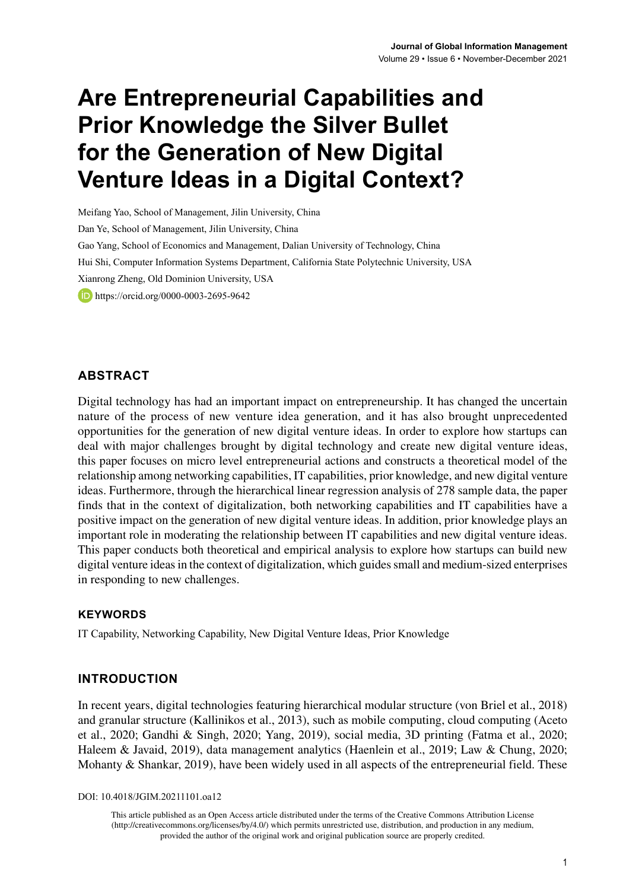# **Are Entrepreneurial Capabilities and Prior Knowledge the Silver Bullet for the Generation of New Digital Venture Ideas in a Digital Context?**

Meifang Yao, School of Management, Jilin University, China Dan Ye, School of Management, Jilin University, China Gao Yang, School of Economics and Management, Dalian University of Technology, China Hui Shi, Computer Information Systems Department, California State Polytechnic University, USA Xianrong Zheng, Old Dominion University, USA **iD**<https://orcid.org/0000-0003-2695-9642>

# **ABSTRACT**

Digital technology has had an important impact on entrepreneurship. It has changed the uncertain nature of the process of new venture idea generation, and it has also brought unprecedented opportunities for the generation of new digital venture ideas. In order to explore how startups can deal with major challenges brought by digital technology and create new digital venture ideas, this paper focuses on micro level entrepreneurial actions and constructs a theoretical model of the relationship among networking capabilities, IT capabilities, prior knowledge, and new digital venture ideas. Furthermore, through the hierarchical linear regression analysis of 278 sample data, the paper finds that in the context of digitalization, both networking capabilities and IT capabilities have a positive impact on the generation of new digital venture ideas. In addition, prior knowledge plays an important role in moderating the relationship between IT capabilities and new digital venture ideas. This paper conducts both theoretical and empirical analysis to explore how startups can build new digital venture ideas in the context of digitalization, which guides small and medium-sized enterprises in responding to new challenges.

#### **Keywords**

IT Capability, Networking Capability, New Digital Venture Ideas, Prior Knowledge

#### **INTRODUCTION**

In recent years, digital technologies featuring hierarchical modular structure (von Briel et al., 2018) and granular structure (Kallinikos et al., 2013), such as mobile computing, cloud computing (Aceto et al., 2020; Gandhi & Singh, 2020; Yang, 2019), social media, 3D printing (Fatma et al., 2020; Haleem & Javaid, 2019), data management analytics (Haenlein et al., 2019; Law & Chung, 2020; Mohanty & Shankar, 2019), have been widely used in all aspects of the entrepreneurial field. These

DOI: 10.4018/JGIM.20211101.oa12

This article published as an Open Access article distributed under the terms of the Creative Commons Attribution License (http://creativecommons.org/licenses/by/4.0/) which permits unrestricted use, distribution, and production in any medium, provided the author of the original work and original publication source are properly credited.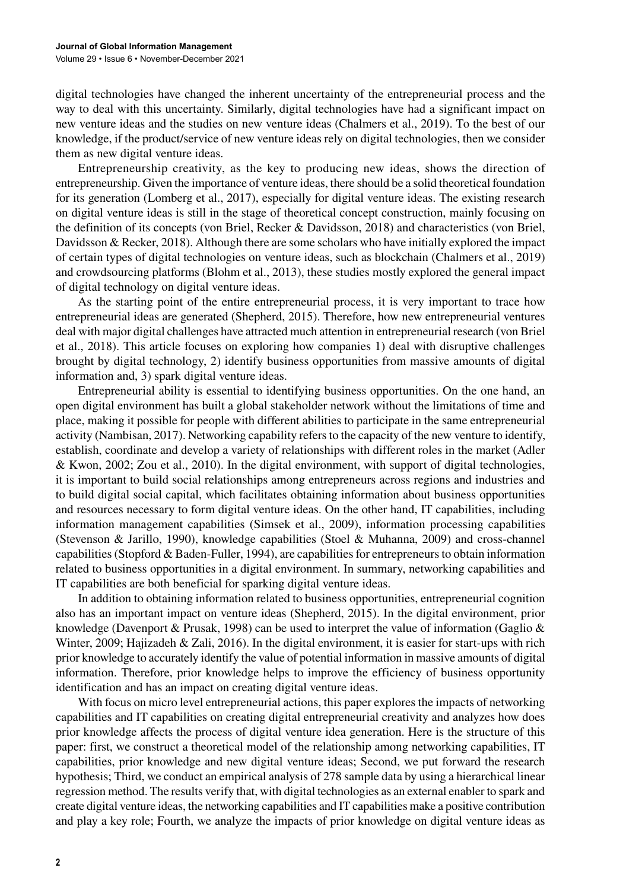digital technologies have changed the inherent uncertainty of the entrepreneurial process and the way to deal with this uncertainty. Similarly, digital technologies have had a significant impact on new venture ideas and the studies on new venture ideas (Chalmers et al., 2019). To the best of our knowledge, if the product/service of new venture ideas rely on digital technologies, then we consider them as new digital venture ideas.

Entrepreneurship creativity, as the key to producing new ideas, shows the direction of entrepreneurship. Given the importance of venture ideas, there should be a solid theoretical foundation for its generation (Lomberg et al., 2017), especially for digital venture ideas. The existing research on digital venture ideas is still in the stage of theoretical concept construction, mainly focusing on the definition of its concepts (von Briel, Recker & Davidsson, 2018) and characteristics (von Briel, Davidsson & Recker, 2018). Although there are some scholars who have initially explored the impact of certain types of digital technologies on venture ideas, such as blockchain (Chalmers et al., 2019) and crowdsourcing platforms (Blohm et al., 2013), these studies mostly explored the general impact of digital technology on digital venture ideas.

As the starting point of the entire entrepreneurial process, it is very important to trace how entrepreneurial ideas are generated (Shepherd, 2015). Therefore, how new entrepreneurial ventures deal with major digital challenges have attracted much attention in entrepreneurial research (von Briel et al., 2018). This article focuses on exploring how companies 1) deal with disruptive challenges brought by digital technology, 2) identify business opportunities from massive amounts of digital information and, 3) spark digital venture ideas.

Entrepreneurial ability is essential to identifying business opportunities. On the one hand, an open digital environment has built a global stakeholder network without the limitations of time and place, making it possible for people with different abilities to participate in the same entrepreneurial activity (Nambisan, 2017). Networking capability refers to the capacity of the new venture to identify, establish, coordinate and develop a variety of relationships with different roles in the market (Adler & Kwon, 2002; Zou et al., 2010). In the digital environment, with support of digital technologies, it is important to build social relationships among entrepreneurs across regions and industries and to build digital social capital, which facilitates obtaining information about business opportunities and resources necessary to form digital venture ideas. On the other hand, IT capabilities, including information management capabilities (Simsek et al., 2009), information processing capabilities (Stevenson & Jarillo, 1990), knowledge capabilities (Stoel & Muhanna, 2009) and cross-channel capabilities (Stopford & Baden-Fuller, 1994), are capabilities for entrepreneurs to obtain information related to business opportunities in a digital environment. In summary, networking capabilities and IT capabilities are both beneficial for sparking digital venture ideas.

In addition to obtaining information related to business opportunities, entrepreneurial cognition also has an important impact on venture ideas (Shepherd, 2015). In the digital environment, prior knowledge (Davenport & Prusak, 1998) can be used to interpret the value of information (Gaglio  $\&$ Winter, 2009; Hajizadeh & Zali, 2016). In the digital environment, it is easier for start-ups with rich prior knowledge to accurately identify the value of potential information in massive amounts of digital information. Therefore, prior knowledge helps to improve the efficiency of business opportunity identification and has an impact on creating digital venture ideas.

With focus on micro level entrepreneurial actions, this paper explores the impacts of networking capabilities and IT capabilities on creating digital entrepreneurial creativity and analyzes how does prior knowledge affects the process of digital venture idea generation. Here is the structure of this paper: first, we construct a theoretical model of the relationship among networking capabilities, IT capabilities, prior knowledge and new digital venture ideas; Second, we put forward the research hypothesis; Third, we conduct an empirical analysis of 278 sample data by using a hierarchical linear regression method. The results verify that, with digital technologies as an external enabler to spark and create digital venture ideas, the networking capabilities and IT capabilities make a positive contribution and play a key role; Fourth, we analyze the impacts of prior knowledge on digital venture ideas as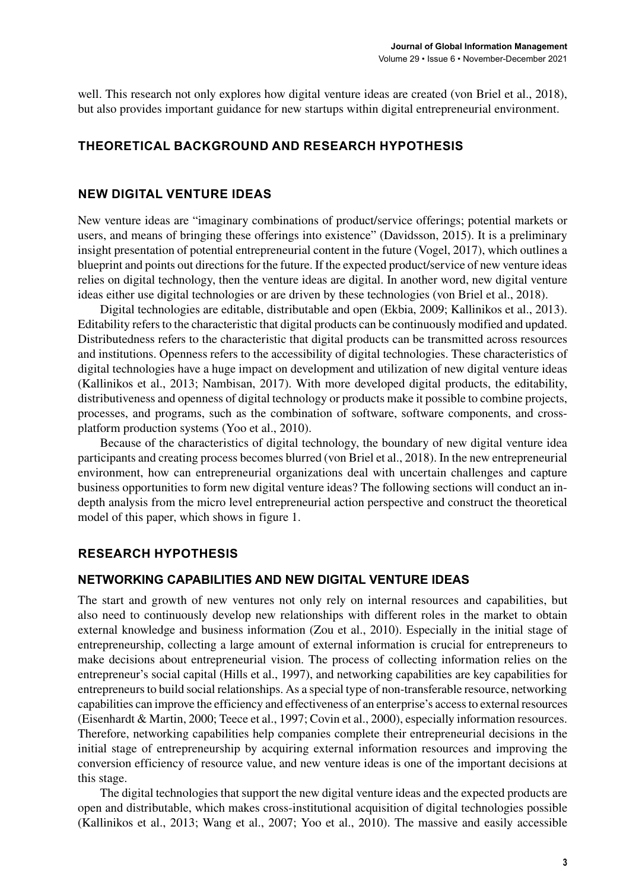well. This research not only explores how digital venture ideas are created (von Briel et al., 2018), but also provides important guidance for new startups within digital entrepreneurial environment.

# **THEORETICAL BACKGROUND AND RESEARCH HYPOTHESIS**

#### **NEW DIGITAL VENTURE IDEAS**

New venture ideas are "imaginary combinations of product/service offerings; potential markets or users, and means of bringing these offerings into existence" (Davidsson, 2015). It is a preliminary insight presentation of potential entrepreneurial content in the future (Vogel, 2017), which outlines a blueprint and points out directions for the future. If the expected product/service of new venture ideas relies on digital technology, then the venture ideas are digital. In another word, new digital venture ideas either use digital technologies or are driven by these technologies (von Briel et al., 2018).

Digital technologies are editable, distributable and open (Ekbia, 2009; Kallinikos et al., 2013). Editability refers to the characteristic that digital products can be continuously modified and updated. Distributedness refers to the characteristic that digital products can be transmitted across resources and institutions. Openness refers to the accessibility of digital technologies. These characteristics of digital technologies have a huge impact on development and utilization of new digital venture ideas (Kallinikos et al., 2013; Nambisan, 2017). With more developed digital products, the editability, distributiveness and openness of digital technology or products make it possible to combine projects, processes, and programs, such as the combination of software, software components, and crossplatform production systems (Yoo et al., 2010).

Because of the characteristics of digital technology, the boundary of new digital venture idea participants and creating process becomes blurred (von Briel et al., 2018). In the new entrepreneurial environment, how can entrepreneurial organizations deal with uncertain challenges and capture business opportunities to form new digital venture ideas? The following sections will conduct an indepth analysis from the micro level entrepreneurial action perspective and construct the theoretical model of this paper, which shows in figure 1.

# **RESEARCH HYPOTHESIS**

#### **NETWORKING CAPABILITIES AND NEW DIGITAL VENTURE IDEAS**

The start and growth of new ventures not only rely on internal resources and capabilities, but also need to continuously develop new relationships with different roles in the market to obtain external knowledge and business information (Zou et al., 2010). Especially in the initial stage of entrepreneurship, collecting a large amount of external information is crucial for entrepreneurs to make decisions about entrepreneurial vision. The process of collecting information relies on the entrepreneur's social capital (Hills et al., 1997), and networking capabilities are key capabilities for entrepreneurs to build social relationships. As a special type of non-transferable resource, networking capabilities can improve the efficiency and effectiveness of an enterprise's access to external resources (Eisenhardt & Martin, 2000; Teece et al., 1997; Covin et al., 2000), especially information resources. Therefore, networking capabilities help companies complete their entrepreneurial decisions in the initial stage of entrepreneurship by acquiring external information resources and improving the conversion efficiency of resource value, and new venture ideas is one of the important decisions at this stage.

The digital technologies that support the new digital venture ideas and the expected products are open and distributable, which makes cross-institutional acquisition of digital technologies possible (Kallinikos et al., 2013; Wang et al., 2007; Yoo et al., 2010). The massive and easily accessible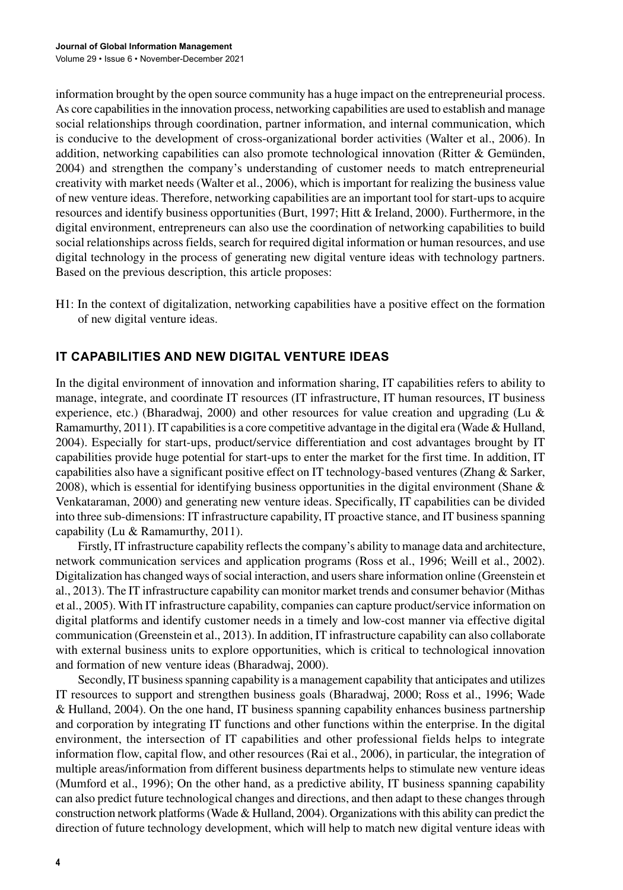information brought by the open source community has a huge impact on the entrepreneurial process. As core capabilities in the innovation process, networking capabilities are used to establish and manage social relationships through coordination, partner information, and internal communication, which is conducive to the development of cross-organizational border activities (Walter et al., 2006). In addition, networking capabilities can also promote technological innovation (Ritter & Gemünden, 2004) and strengthen the company's understanding of customer needs to match entrepreneurial creativity with market needs (Walter et al., 2006), which is important for realizing the business value of new venture ideas. Therefore, networking capabilities are an important tool for start-ups to acquire resources and identify business opportunities (Burt, 1997; Hitt & Ireland, 2000). Furthermore, in the digital environment, entrepreneurs can also use the coordination of networking capabilities to build social relationships across fields, search for required digital information or human resources, and use digital technology in the process of generating new digital venture ideas with technology partners. Based on the previous description, this article proposes:

H1: In the context of digitalization, networking capabilities have a positive effect on the formation of new digital venture ideas.

# **IT CAPABILITIES AND NEW DIGITAL VENTURE IDEAS**

In the digital environment of innovation and information sharing, IT capabilities refers to ability to manage, integrate, and coordinate IT resources (IT infrastructure, IT human resources, IT business experience, etc.) (Bharadwaj, 2000) and other resources for value creation and upgrading (Lu & Ramamurthy, 2011). IT capabilities is a core competitive advantage in the digital era (Wade & Hulland, 2004). Especially for start-ups, product/service differentiation and cost advantages brought by IT capabilities provide huge potential for start-ups to enter the market for the first time. In addition, IT capabilities also have a significant positive effect on IT technology-based ventures (Zhang & Sarker, 2008), which is essential for identifying business opportunities in the digital environment (Shane  $\&$ Venkataraman, 2000) and generating new venture ideas. Specifically, IT capabilities can be divided into three sub-dimensions: IT infrastructure capability, IT proactive stance, and IT business spanning capability (Lu & Ramamurthy, 2011).

Firstly, IT infrastructure capability reflects the company's ability to manage data and architecture, network communication services and application programs (Ross et al., 1996; Weill et al., 2002). Digitalization has changed ways of social interaction, and users share information online (Greenstein et al., 2013). The IT infrastructure capability can monitor market trends and consumer behavior (Mithas et al., 2005). With IT infrastructure capability, companies can capture product/service information on digital platforms and identify customer needs in a timely and low-cost manner via effective digital communication (Greenstein et al., 2013). In addition, IT infrastructure capability can also collaborate with external business units to explore opportunities, which is critical to technological innovation and formation of new venture ideas (Bharadwaj, 2000).

Secondly, IT business spanning capability is a management capability that anticipates and utilizes IT resources to support and strengthen business goals (Bharadwaj, 2000; Ross et al., 1996; Wade & Hulland, 2004). On the one hand, IT business spanning capability enhances business partnership and corporation by integrating IT functions and other functions within the enterprise. In the digital environment, the intersection of IT capabilities and other professional fields helps to integrate information flow, capital flow, and other resources (Rai et al., 2006), in particular, the integration of multiple areas/information from different business departments helps to stimulate new venture ideas (Mumford et al., 1996); On the other hand, as a predictive ability, IT business spanning capability can also predict future technological changes and directions, and then adapt to these changes through construction network platforms (Wade & Hulland, 2004). Organizations with this ability can predict the direction of future technology development, which will help to match new digital venture ideas with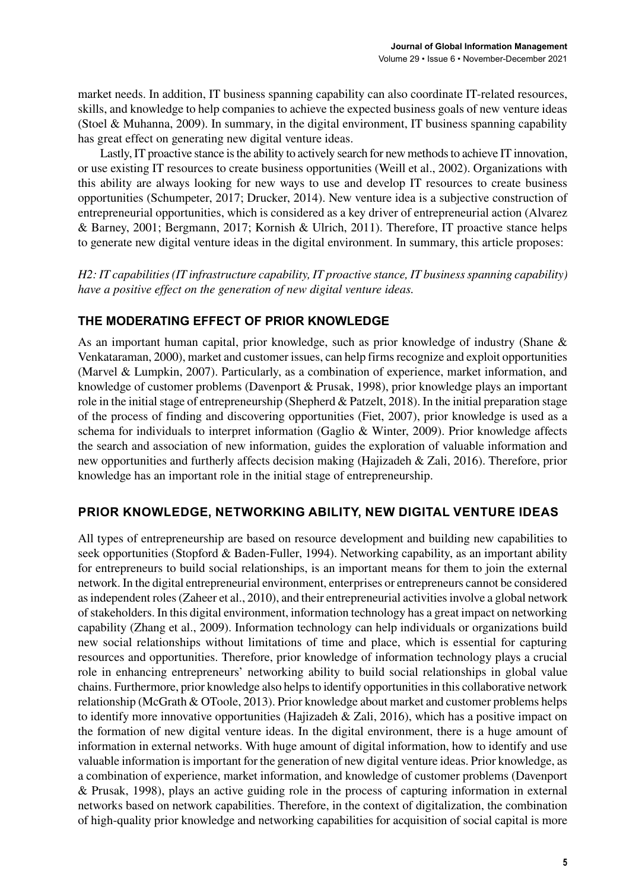market needs. In addition, IT business spanning capability can also coordinate IT-related resources, skills, and knowledge to help companies to achieve the expected business goals of new venture ideas (Stoel & Muhanna, 2009). In summary, in the digital environment, IT business spanning capability has great effect on generating new digital venture ideas.

Lastly, IT proactive stance is the ability to actively search for new methods to achieve IT innovation, or use existing IT resources to create business opportunities (Weill et al., 2002). Organizations with this ability are always looking for new ways to use and develop IT resources to create business opportunities (Schumpeter, 2017; Drucker, 2014). New venture idea is a subjective construction of entrepreneurial opportunities, which is considered as a key driver of entrepreneurial action (Alvarez & Barney, 2001; Bergmann, 2017; Kornish & Ulrich, 2011). Therefore, IT proactive stance helps to generate new digital venture ideas in the digital environment. In summary, this article proposes:

*H2: IT capabilities (IT infrastructure capability, IT proactive stance, IT business spanning capability) have a positive effect on the generation of new digital venture ideas.*

# **THE MODERATING EFFECT OF PRIOR KNOWLEDGE**

As an important human capital, prior knowledge, such as prior knowledge of industry (Shane & Venkataraman, 2000), market and customer issues, can help firms recognize and exploit opportunities (Marvel & Lumpkin, 2007). Particularly, as a combination of experience, market information, and knowledge of customer problems (Davenport & Prusak, 1998), prior knowledge plays an important role in the initial stage of entrepreneurship (Shepherd & Patzelt, 2018). In the initial preparation stage of the process of finding and discovering opportunities (Fiet, 2007), prior knowledge is used as a schema for individuals to interpret information (Gaglio & Winter, 2009). Prior knowledge affects the search and association of new information, guides the exploration of valuable information and new opportunities and furtherly affects decision making (Hajizadeh & Zali, 2016). Therefore, prior knowledge has an important role in the initial stage of entrepreneurship.

# **PRIOR KNOWLEDGE, NETWORKING ABILITY, NEW DIGITAL VENTURE IDEAS**

All types of entrepreneurship are based on resource development and building new capabilities to seek opportunities (Stopford & Baden-Fuller, 1994). Networking capability, as an important ability for entrepreneurs to build social relationships, is an important means for them to join the external network. In the digital entrepreneurial environment, enterprises or entrepreneurs cannot be considered as independent roles (Zaheer et al., 2010), and their entrepreneurial activities involve a global network of stakeholders. In this digital environment, information technology has a great impact on networking capability (Zhang et al., 2009). Information technology can help individuals or organizations build new social relationships without limitations of time and place, which is essential for capturing resources and opportunities. Therefore, prior knowledge of information technology plays a crucial role in enhancing entrepreneurs' networking ability to build social relationships in global value chains. Furthermore, prior knowledge also helps to identify opportunities in this collaborative network relationship (McGrath & OToole, 2013). Prior knowledge about market and customer problems helps to identify more innovative opportunities (Hajizadeh & Zali, 2016), which has a positive impact on the formation of new digital venture ideas. In the digital environment, there is a huge amount of information in external networks. With huge amount of digital information, how to identify and use valuable information is important for the generation of new digital venture ideas. Prior knowledge, as a combination of experience, market information, and knowledge of customer problems (Davenport & Prusak, 1998), plays an active guiding role in the process of capturing information in external networks based on network capabilities. Therefore, in the context of digitalization, the combination of high-quality prior knowledge and networking capabilities for acquisition of social capital is more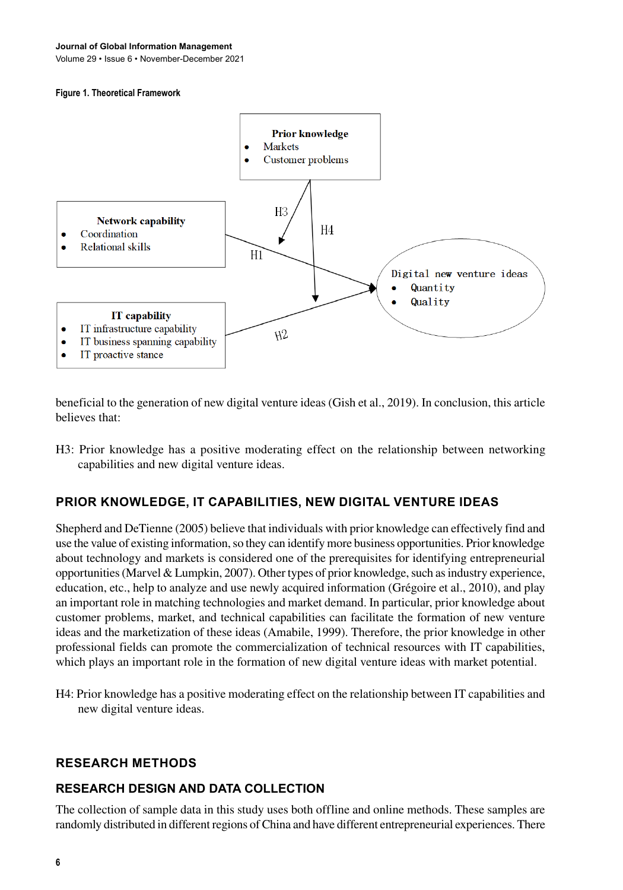Volume 29 • Issue 6 • November-December 2021

#### **Figure 1. Theoretical Framework**



beneficial to the generation of new digital venture ideas (Gish et al., 2019). In conclusion, this article believes that:

H3: Prior knowledge has a positive moderating effect on the relationship between networking capabilities and new digital venture ideas.

# **PRIOR KNOWLEDGE, IT CAPABILITIES, NEW DIGITAL VENTURE IDEAS**

Shepherd and DeTienne (2005) believe that individuals with prior knowledge can effectively find and use the value of existing information, so they can identify more business opportunities. Prior knowledge about technology and markets is considered one of the prerequisites for identifying entrepreneurial opportunities (Marvel & Lumpkin, 2007). Other types of prior knowledge, such as industry experience, education, etc., help to analyze and use newly acquired information (Grégoire et al., 2010), and play an important role in matching technologies and market demand. In particular, prior knowledge about customer problems, market, and technical capabilities can facilitate the formation of new venture ideas and the marketization of these ideas (Amabile, 1999). Therefore, the prior knowledge in other professional fields can promote the commercialization of technical resources with IT capabilities, which plays an important role in the formation of new digital venture ideas with market potential.

H4: Prior knowledge has a positive moderating effect on the relationship between IT capabilities and new digital venture ideas.

#### **RESEARCH METHODS**

#### **RESEARCH DESIGN AND DATA COLLECTION**

The collection of sample data in this study uses both offline and online methods. These samples are randomly distributed in different regions of China and have different entrepreneurial experiences. There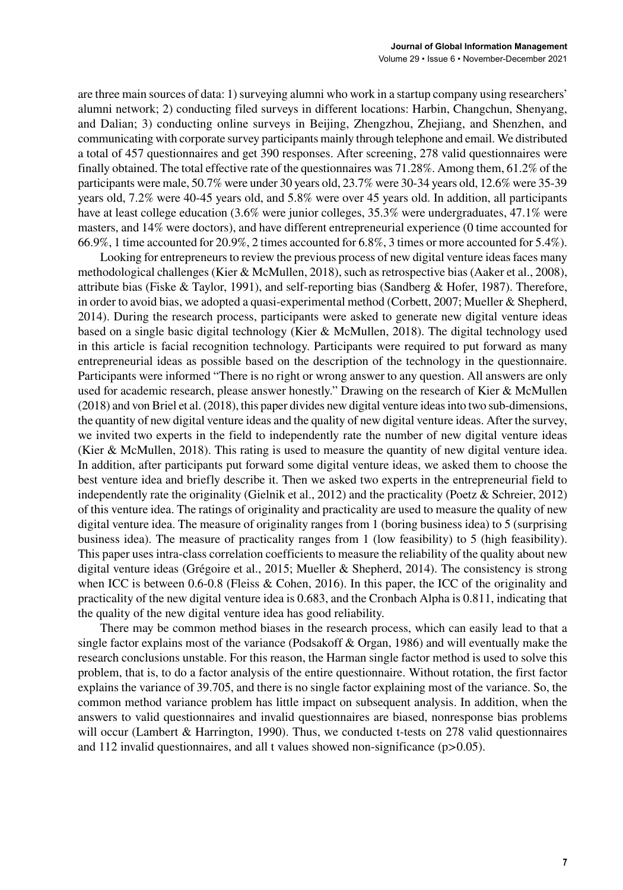are three main sources of data: 1) surveying alumni who work in a startup company using researchers' alumni network; 2) conducting filed surveys in different locations: Harbin, Changchun, Shenyang, and Dalian; 3) conducting online surveys in Beijing, Zhengzhou, Zhejiang, and Shenzhen, and communicating with corporate survey participants mainly through telephone and email. We distributed a total of 457 questionnaires and get 390 responses. After screening, 278 valid questionnaires were finally obtained. The total effective rate of the questionnaires was 71.28%. Among them, 61.2% of the participants were male, 50.7% were under 30 years old, 23.7% were 30-34 years old, 12.6% were 35-39 years old, 7.2% were 40-45 years old, and 5.8% were over 45 years old. In addition, all participants have at least college education (3.6% were junior colleges, 35.3% were undergraduates, 47.1% were masters, and 14% were doctors), and have different entrepreneurial experience (0 time accounted for 66.9%, 1 time accounted for 20.9%, 2 times accounted for 6.8%, 3 times or more accounted for 5.4%).

Looking for entrepreneurs to review the previous process of new digital venture ideas faces many methodological challenges (Kier & McMullen, 2018), such as retrospective bias (Aaker et al., 2008), attribute bias (Fiske & Taylor, 1991), and self-reporting bias (Sandberg & Hofer, 1987). Therefore, in order to avoid bias, we adopted a quasi-experimental method (Corbett, 2007; Mueller & Shepherd, 2014). During the research process, participants were asked to generate new digital venture ideas based on a single basic digital technology (Kier & McMullen, 2018). The digital technology used in this article is facial recognition technology. Participants were required to put forward as many entrepreneurial ideas as possible based on the description of the technology in the questionnaire. Participants were informed "There is no right or wrong answer to any question. All answers are only used for academic research, please answer honestly." Drawing on the research of Kier & McMullen (2018) and von Briel et al. (2018), this paper divides new digital venture ideas into two sub-dimensions, the quantity of new digital venture ideas and the quality of new digital venture ideas. After the survey, we invited two experts in the field to independently rate the number of new digital venture ideas (Kier & McMullen, 2018). This rating is used to measure the quantity of new digital venture idea. In addition, after participants put forward some digital venture ideas, we asked them to choose the best venture idea and briefly describe it. Then we asked two experts in the entrepreneurial field to independently rate the originality (Gielnik et al., 2012) and the practicality (Poetz & Schreier, 2012) of this venture idea. The ratings of originality and practicality are used to measure the quality of new digital venture idea. The measure of originality ranges from 1 (boring business idea) to 5 (surprising business idea). The measure of practicality ranges from 1 (low feasibility) to 5 (high feasibility). This paper uses intra-class correlation coefficients to measure the reliability of the quality about new digital venture ideas (Grégoire et al., 2015; Mueller & Shepherd, 2014). The consistency is strong when ICC is between 0.6-0.8 (Fleiss & Cohen, 2016). In this paper, the ICC of the originality and practicality of the new digital venture idea is 0.683, and the Cronbach Alpha is 0.811, indicating that the quality of the new digital venture idea has good reliability.

There may be common method biases in the research process, which can easily lead to that a single factor explains most of the variance (Podsakoff & Organ, 1986) and will eventually make the research conclusions unstable. For this reason, the Harman single factor method is used to solve this problem, that is, to do a factor analysis of the entire questionnaire. Without rotation, the first factor explains the variance of 39.705, and there is no single factor explaining most of the variance. So, the common method variance problem has little impact on subsequent analysis. In addition, when the answers to valid questionnaires and invalid questionnaires are biased, nonresponse bias problems will occur (Lambert & Harrington, 1990). Thus, we conducted t-tests on 278 valid questionnaires and 112 invalid questionnaires, and all t values showed non-significance (p>0.05).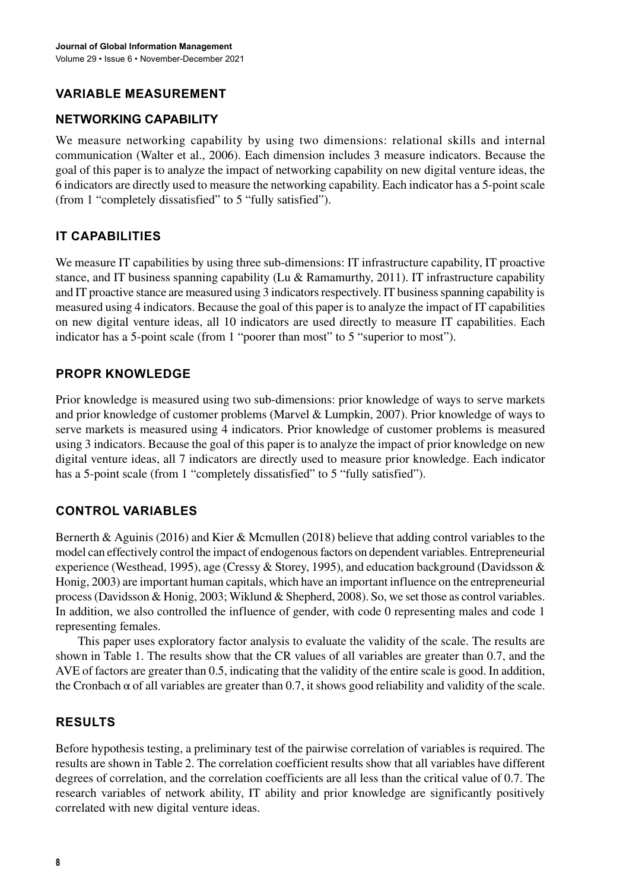# **VARIABLE MEASUREMENT**

# **NETWORKING CAPABILITY**

We measure networking capability by using two dimensions: relational skills and internal communication (Walter et al., 2006). Each dimension includes 3 measure indicators. Because the goal of this paper is to analyze the impact of networking capability on new digital venture ideas, the 6 indicators are directly used to measure the networking capability. Each indicator has a 5-point scale (from 1 "completely dissatisfied" to 5 "fully satisfied").

# **IT CAPABILITIES**

We measure IT capabilities by using three sub-dimensions: IT infrastructure capability, IT proactive stance, and IT business spanning capability (Lu & Ramamurthy, 2011). IT infrastructure capability and IT proactive stance are measured using 3 indicators respectively. IT business spanning capability is measured using 4 indicators. Because the goal of this paper is to analyze the impact of IT capabilities on new digital venture ideas, all 10 indicators are used directly to measure IT capabilities. Each indicator has a 5-point scale (from 1 "poorer than most" to 5 "superior to most").

# **PROPR KNOWLEDGE**

Prior knowledge is measured using two sub-dimensions: prior knowledge of ways to serve markets and prior knowledge of customer problems (Marvel & Lumpkin, 2007). Prior knowledge of ways to serve markets is measured using 4 indicators. Prior knowledge of customer problems is measured using 3 indicators. Because the goal of this paper is to analyze the impact of prior knowledge on new digital venture ideas, all 7 indicators are directly used to measure prior knowledge. Each indicator has a 5-point scale (from 1 "completely dissatisfied" to 5 "fully satisfied").

# **CONTROL VARIABLES**

Bernerth & Aguinis (2016) and Kier & Mcmullen (2018) believe that adding control variables to the model can effectively control the impact of endogenous factors on dependent variables. Entrepreneurial experience (Westhead, 1995), age (Cressy & Storey, 1995), and education background (Davidsson & Honig, 2003) are important human capitals, which have an important influence on the entrepreneurial process (Davidsson & Honig, 2003; Wiklund & Shepherd, 2008). So, we set those as control variables. In addition, we also controlled the influence of gender, with code 0 representing males and code 1 representing females.

This paper uses exploratory factor analysis to evaluate the validity of the scale. The results are shown in Table 1. The results show that the CR values of all variables are greater than 0.7, and the AVE of factors are greater than 0.5, indicating that the validity of the entire scale is good. In addition, the Cronbach  $\alpha$  of all variables are greater than 0.7, it shows good reliability and validity of the scale.

# **RESULTS**

Before hypothesis testing, a preliminary test of the pairwise correlation of variables is required. The results are shown in Table 2. The correlation coefficient results show that all variables have different degrees of correlation, and the correlation coefficients are all less than the critical value of 0.7. The research variables of network ability, IT ability and prior knowledge are significantly positively correlated with new digital venture ideas.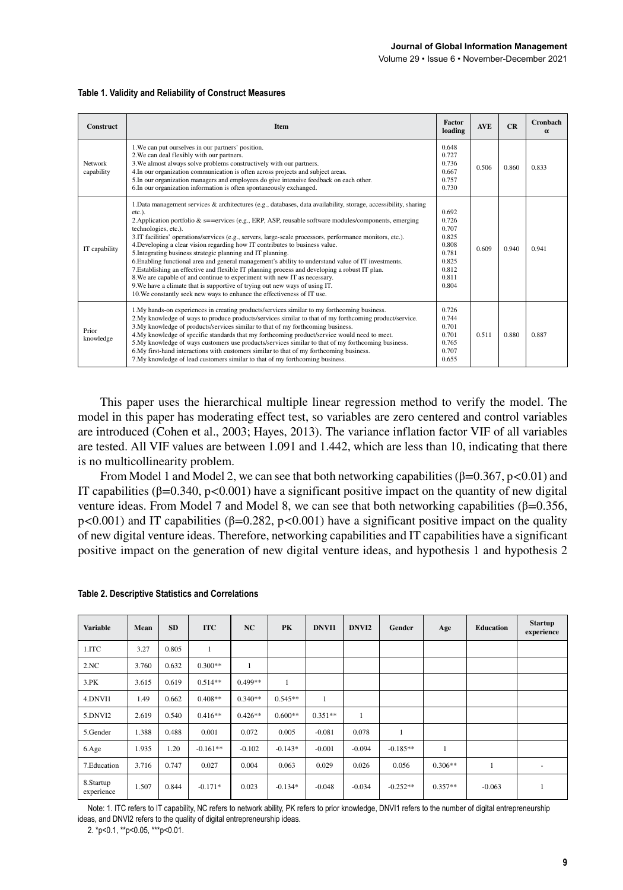Volume 29 • Issue 6 • November-December 2021

| Construct             | Item                                                                                                                                                                                                                                                                                                                                                                                                                                                                                                                                                                                                                                                                                                                                                                                                                                                                                                                                                                        | <b>Factor</b><br>loading                                                               | <b>AVE</b> | CR    | <b>Cronbach</b><br>$\alpha$ |
|-----------------------|-----------------------------------------------------------------------------------------------------------------------------------------------------------------------------------------------------------------------------------------------------------------------------------------------------------------------------------------------------------------------------------------------------------------------------------------------------------------------------------------------------------------------------------------------------------------------------------------------------------------------------------------------------------------------------------------------------------------------------------------------------------------------------------------------------------------------------------------------------------------------------------------------------------------------------------------------------------------------------|----------------------------------------------------------------------------------------|------------|-------|-----------------------------|
| Network<br>capability | 1. We can put ourselves in our partners' position.<br>2. We can deal flexibly with our partners.<br>3. We almost always solve problems constructively with our partners.<br>4. In our organization communication is often across projects and subject areas.<br>5. In our organization managers and employees do give intensive feedback on each other.<br>6. In our organization information is often spontaneously exchanged.                                                                                                                                                                                                                                                                                                                                                                                                                                                                                                                                             | 0.648<br>0.727<br>0.736<br>0.667<br>0.757<br>0.730                                     | 0.506      | 0.860 | 0.833                       |
| IT capability         | 1. Data management services & architectures (e.g., databases, data availability, storage, accessibility, sharing<br>etc.).<br>2. Application portfolio & $s =$ =ervices (e.g., ERP, ASP, reusable software modules/components, emerging<br>technologies, etc.).<br>3.IT facilities' operations/services (e.g., servers, large-scale processors, performance monitors, etc.).<br>4. Developing a clear vision regarding how IT contributes to business value.<br>5. Integrating business strategic planning and IT planning.<br>6. Enabling functional area and general management's ability to understand value of IT investments.<br>7. Establishing an effective and flexible IT planning process and developing a robust IT plan.<br>8. We are capable of and continue to experiment with new IT as necessary.<br>9. We have a climate that is supportive of trying out new ways of using IT.<br>10. We constantly seek new ways to enhance the effectiveness of IT use. | 0.692<br>0.726<br>0.707<br>0.825<br>0.808<br>0.781<br>0.825<br>0.812<br>0.811<br>0.804 | 0.609      | 0.940 | 0.941                       |
| Prior<br>knowledge    | 1. My hands-on experiences in creating products/services similar to my forthcoming business.<br>2. My knowledge of ways to produce products/services similar to that of my forthcoming product/service.<br>3. My knowledge of products/services similar to that of my forthcoming business.<br>4. My knowledge of specific standards that my forthcoming product/service would need to meet.<br>5. My knowledge of ways customers use products/services similar to that of my forthcoming business.<br>6. My first-hand interactions with customers similar to that of my forthcoming business.<br>7. My knowledge of lead customers similar to that of my forthcoming business.                                                                                                                                                                                                                                                                                            | 0.726<br>0.744<br>0.701<br>0.701<br>0.765<br>0.707<br>0.655                            | 0.511      | 0.880 | 0.887                       |

#### **Table 1. Validity and Reliability of Construct Measures**

This paper uses the hierarchical multiple linear regression method to verify the model. The model in this paper has moderating effect test, so variables are zero centered and control variables are introduced (Cohen et al., 2003; Hayes, 2013). The variance inflation factor VIF of all variables are tested. All VIF values are between 1.091 and 1.442, which are less than 10, indicating that there is no multicollinearity problem.

From Model 1 and Model 2, we can see that both networking capabilities ( $\beta$ =0.367, p<0.01) and IT capabilities (β=0.340, p<0.001) have a significant positive impact on the quantity of new digital venture ideas. From Model 7 and Model 8, we can see that both networking capabilities (β=0.356, p<0.001) and IT capabilities ( $\beta$ =0.282, p<0.001) have a significant positive impact on the quality of new digital venture ideas. Therefore, networking capabilities and IT capabilities have a significant positive impact on the generation of new digital venture ideas, and hypothesis 1 and hypothesis 2

| <b>Variable</b>         | Mean  | <b>SD</b> | <b>ITC</b>   | NC           | PK        | <b>DNVI1</b> | DNVI <sub>2</sub> | Gender       | Age       | <b>Education</b> | <b>Startup</b><br>experience |
|-------------------------|-------|-----------|--------------|--------------|-----------|--------------|-------------------|--------------|-----------|------------------|------------------------------|
| 1.ITC                   | 3.27  | 0.805     | $\mathbf{1}$ |              |           |              |                   |              |           |                  |                              |
| 2.NC                    | 3.760 | 0.632     | $0.300**$    | $\mathbf{1}$ |           |              |                   |              |           |                  |                              |
| 3.PK                    | 3.615 | 0.619     | $0.514**$    | $0.499**$    | 1         |              |                   |              |           |                  |                              |
| 4.DNVI1                 | 1.49  | 0.662     | $0.408**$    | $0.340**$    | $0.545**$ | $\mathbf{1}$ |                   |              |           |                  |                              |
| 5.DNVI2                 | 2.619 | 0.540     | $0.416**$    | $0.426**$    | $0.600**$ | $0.351**$    | $\mathbf{1}$      |              |           |                  |                              |
| 5.Gender                | 1.388 | 0.488     | 0.001        | 0.072        | 0.005     | $-0.081$     | 0.078             | $\mathbf{1}$ |           |                  |                              |
| 6.Age                   | 1.935 | 1.20      | $-0.161**$   | $-0.102$     | $-0.143*$ | $-0.001$     | $-0.094$          | $-0.185**$   |           |                  |                              |
| 7. Education            | 3.716 | 0.747     | 0.027        | 0.004        | 0.063     | 0.029        | 0.026             | 0.056        | $0.306**$ |                  |                              |
| 8.Startup<br>experience | 1.507 | 0.844     | $-0.171*$    | 0.023        | $-0.134*$ | $-0.048$     | $-0.034$          | $-0.252**$   | $0.357**$ | $-0.063$         |                              |

#### **Table 2. Descriptive Statistics and Correlations**

Note: 1. ITC refers to IT capability, NC refers to network ability, PK refers to prior knowledge, DNVI1 refers to the number of digital entrepreneurship ideas, and DNVI2 refers to the quality of digital entrepreneurship ideas.

2. \*p<0.1, \*\*p<0.05, \*\*\*p<0.01.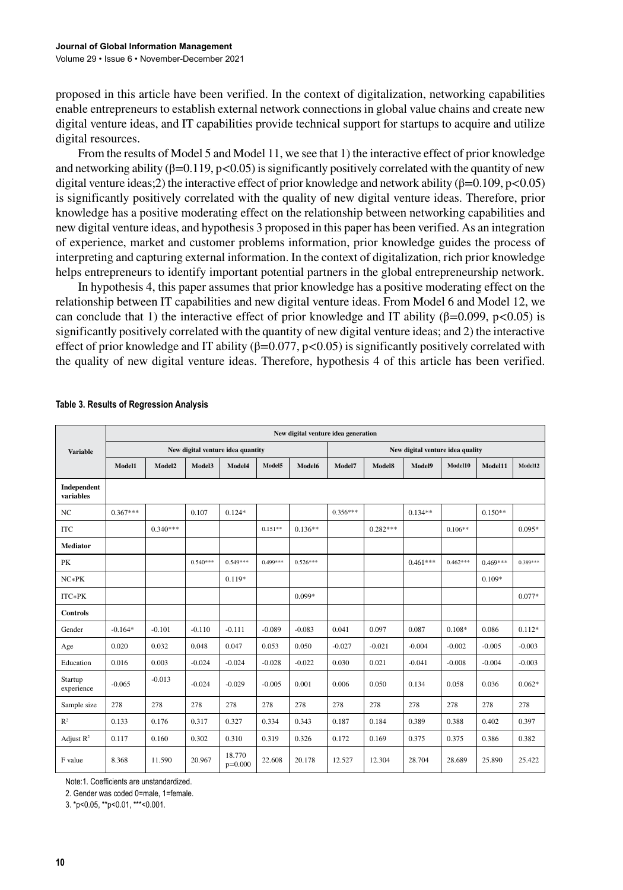proposed in this article have been verified. In the context of digitalization, networking capabilities enable entrepreneurs to establish external network connections in global value chains and create new digital venture ideas, and IT capabilities provide technical support for startups to acquire and utilize digital resources.

From the results of Model 5 and Model 11, we see that 1) the interactive effect of prior knowledge and networking ability ( $\beta$ =0.119, p<0.05) is significantly positively correlated with the quantity of new digital venture ideas;2) the interactive effect of prior knowledge and network ability ( $\beta$ =0.109, p<0.05) is significantly positively correlated with the quality of new digital venture ideas. Therefore, prior knowledge has a positive moderating effect on the relationship between networking capabilities and new digital venture ideas, and hypothesis 3 proposed in this paper has been verified. As an integration of experience, market and customer problems information, prior knowledge guides the process of interpreting and capturing external information. In the context of digitalization, rich prior knowledge helps entrepreneurs to identify important potential partners in the global entrepreneurship network.

In hypothesis 4, this paper assumes that prior knowledge has a positive moderating effect on the relationship between IT capabilities and new digital venture ideas. From Model 6 and Model 12, we can conclude that 1) the interactive effect of prior knowledge and IT ability ( $\beta$ =0.099, p<0.05) is significantly positively correlated with the quantity of new digital venture ideas; and 2) the interactive effect of prior knowledge and IT ability ( $\beta$ =0.077, p<0.05) is significantly positively correlated with the quality of new digital venture ideas. Therefore, hypothesis 4 of this article has been verified.

|                          | New digital venture idea generation |                    |            |                     |            |            |                                  |            |            |            |            |            |  |
|--------------------------|-------------------------------------|--------------------|------------|---------------------|------------|------------|----------------------------------|------------|------------|------------|------------|------------|--|
| <b>Variable</b>          | New digital venture idea quantity   |                    |            |                     |            |            | New digital venture idea quality |            |            |            |            |            |  |
|                          | Model1                              | Model <sub>2</sub> | Model3     | Model4              | Model5     | Model6     | Model7                           | Model8     | Model9     | Model10    | Model11    | Model12    |  |
| Independent<br>variables |                                     |                    |            |                     |            |            |                                  |            |            |            |            |            |  |
| NC                       | $0.367***$                          |                    | 0.107      | $0.124*$            |            |            | $0.356***$                       |            | $0.134**$  |            | $0.150**$  |            |  |
| <b>ITC</b>               |                                     | $0.340***$         |            |                     | $0.151**$  | $0.136**$  |                                  | $0.282***$ |            | $0.106**$  |            | $0.095*$   |  |
| <b>Mediator</b>          |                                     |                    |            |                     |            |            |                                  |            |            |            |            |            |  |
| PK                       |                                     |                    | $0.540***$ | $0.549***$          | $0.499***$ | $0.526***$ |                                  |            | $0.461***$ | $0.462***$ | $0.469***$ | $0.389***$ |  |
| $NC*PK$                  |                                     |                    |            | $0.119*$            |            |            |                                  |            |            |            | $0.109*$   |            |  |
| ITC*PK                   |                                     |                    |            |                     |            | $0.099*$   |                                  |            |            |            |            | $0.077*$   |  |
| <b>Controls</b>          |                                     |                    |            |                     |            |            |                                  |            |            |            |            |            |  |
| Gender                   | $-0.164*$                           | $-0.101$           | $-0.110$   | $-0.111$            | $-0.089$   | $-0.083$   | 0.041                            | 0.097      | 0.087      | $0.108*$   | 0.086      | $0.112*$   |  |
| Age                      | 0.020                               | 0.032              | 0.048      | 0.047               | 0.053      | 0.050      | $-0.027$                         | $-0.021$   | $-0.004$   | $-0.002$   | $-0.005$   | $-0.003$   |  |
| Education                | 0.016                               | 0.003              | $-0.024$   | $-0.024$            | $-0.028$   | $-0.022$   | 0.030                            | 0.021      | $-0.041$   | $-0.008$   | $-0.004$   | $-0.003$   |  |
| Startup<br>experience    | $-0.065$                            | $-0.013$           | $-0.024$   | $-0.029$            | $-0.005$   | 0.001      | 0.006                            | 0.050      | 0.134      | 0.058      | 0.036      | $0.062*$   |  |
| Sample size              | 278                                 | 278                | 278        | 278                 | 278        | 278        | 278                              | 278        | 278        | 278        | 278        | 278        |  |
| R <sup>2</sup>           | 0.133                               | 0.176              | 0.317      | 0.327               | 0.334      | 0.343      | 0.187                            | 0.184      | 0.389      | 0.388      | 0.402      | 0.397      |  |
| Adjust $R^2$             | 0.117                               | 0.160              | 0.302      | 0.310               | 0.319      | 0.326      | 0.172                            | 0.169      | 0.375      | 0.375      | 0.386      | 0.382      |  |
| F value                  | 8.368                               | 11.590             | 20.967     | 18.770<br>$p=0.000$ | 22.608     | 20.178     | 12.527                           | 12.304     | 28.704     | 28.689     | 25.890     | 25.422     |  |

#### **Table 3. Results of Regression Analysis**

Note:1. Coefficients are unstandardized.

2. Gender was coded 0=male, 1=female.

3. \*p<0.05, \*\*p<0.01, \*\*\*<0.001.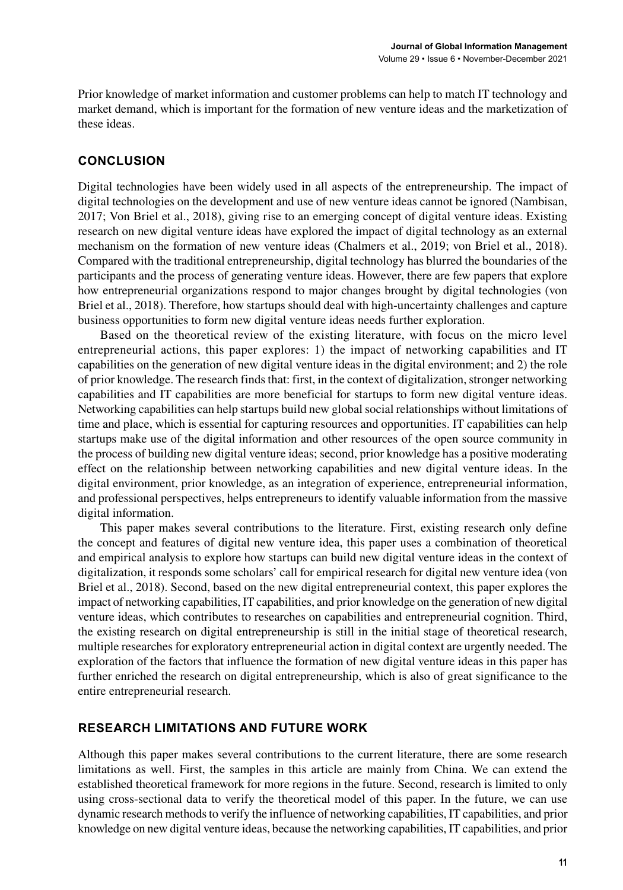Prior knowledge of market information and customer problems can help to match IT technology and market demand, which is important for the formation of new venture ideas and the marketization of these ideas.

# **CONCLUSION**

Digital technologies have been widely used in all aspects of the entrepreneurship. The impact of digital technologies on the development and use of new venture ideas cannot be ignored (Nambisan, 2017; Von Briel et al., 2018), giving rise to an emerging concept of digital venture ideas. Existing research on new digital venture ideas have explored the impact of digital technology as an external mechanism on the formation of new venture ideas (Chalmers et al., 2019; von Briel et al., 2018). Compared with the traditional entrepreneurship, digital technology has blurred the boundaries of the participants and the process of generating venture ideas. However, there are few papers that explore how entrepreneurial organizations respond to major changes brought by digital technologies (von Briel et al., 2018). Therefore, how startups should deal with high-uncertainty challenges and capture business opportunities to form new digital venture ideas needs further exploration.

Based on the theoretical review of the existing literature, with focus on the micro level entrepreneurial actions, this paper explores: 1) the impact of networking capabilities and IT capabilities on the generation of new digital venture ideas in the digital environment; and 2) the role of prior knowledge. The research finds that: first, in the context of digitalization, stronger networking capabilities and IT capabilities are more beneficial for startups to form new digital venture ideas. Networking capabilities can help startups build new global social relationships without limitations of time and place, which is essential for capturing resources and opportunities. IT capabilities can help startups make use of the digital information and other resources of the open source community in the process of building new digital venture ideas; second, prior knowledge has a positive moderating effect on the relationship between networking capabilities and new digital venture ideas. In the digital environment, prior knowledge, as an integration of experience, entrepreneurial information, and professional perspectives, helps entrepreneurs to identify valuable information from the massive digital information.

This paper makes several contributions to the literature. First, existing research only define the concept and features of digital new venture idea, this paper uses a combination of theoretical and empirical analysis to explore how startups can build new digital venture ideas in the context of digitalization, it responds some scholars' call for empirical research for digital new venture idea (von Briel et al., 2018). Second, based on the new digital entrepreneurial context, this paper explores the impact of networking capabilities, IT capabilities, and prior knowledge on the generation of new digital venture ideas, which contributes to researches on capabilities and entrepreneurial cognition. Third, the existing research on digital entrepreneurship is still in the initial stage of theoretical research, multiple researches for exploratory entrepreneurial action in digital context are urgently needed. The exploration of the factors that influence the formation of new digital venture ideas in this paper has further enriched the research on digital entrepreneurship, which is also of great significance to the entire entrepreneurial research.

# **RESEARCH LIMITATIONS AND FUTURE WORK**

Although this paper makes several contributions to the current literature, there are some research limitations as well. First, the samples in this article are mainly from China. We can extend the established theoretical framework for more regions in the future. Second, research is limited to only using cross-sectional data to verify the theoretical model of this paper. In the future, we can use dynamic research methods to verify the influence of networking capabilities, IT capabilities, and prior knowledge on new digital venture ideas, because the networking capabilities, IT capabilities, and prior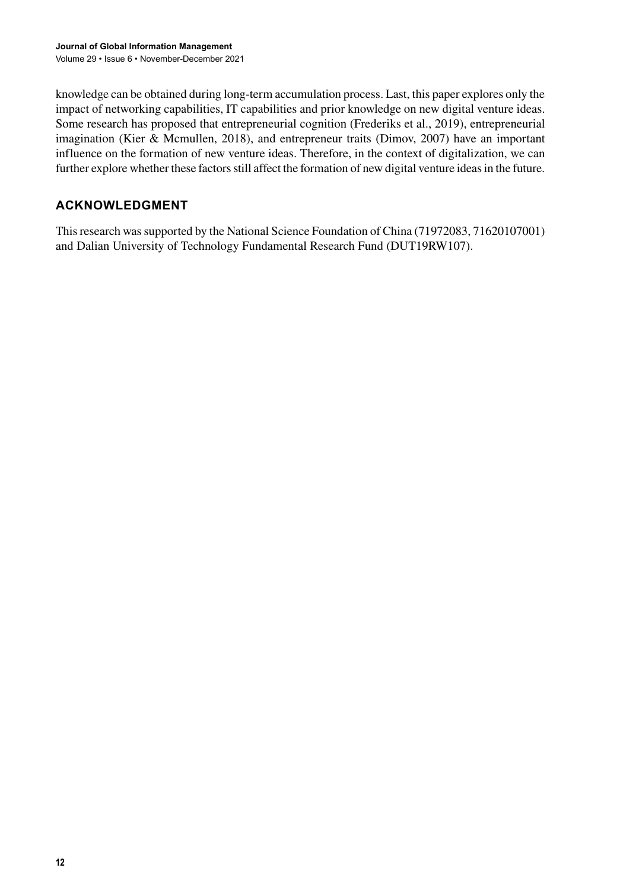knowledge can be obtained during long-term accumulation process. Last, this paper explores only the impact of networking capabilities, IT capabilities and prior knowledge on new digital venture ideas. Some research has proposed that entrepreneurial cognition (Frederiks et al., 2019), entrepreneurial imagination (Kier & Mcmullen, 2018), and entrepreneur traits (Dimov, 2007) have an important influence on the formation of new venture ideas. Therefore, in the context of digitalization, we can further explore whether these factors still affect the formation of new digital venture ideas in the future.

# **ACKNOWLEDGMENT**

This research was supported by the National Science Foundation of China (71972083, 71620107001) and Dalian University of Technology Fundamental Research Fund (DUT19RW107).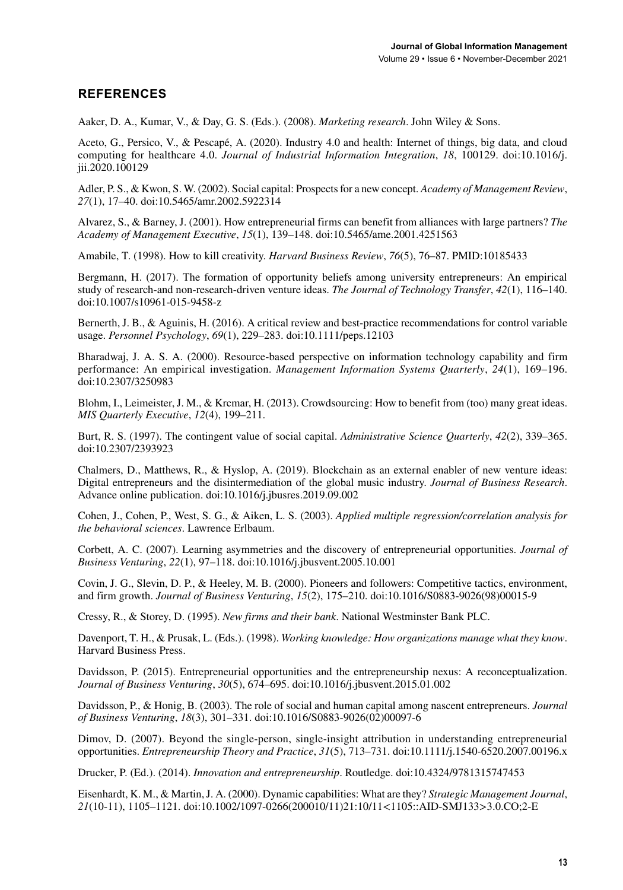# **REFERENCES**

Aaker, D. A., Kumar, V., & Day, G. S. (Eds.). (2008). *Marketing research*. John Wiley & Sons.

Aceto, G., Persico, V., & Pescapé, A. (2020). Industry 4.0 and health: Internet of things, big data, and cloud computing for healthcare 4.0. *Journal of Industrial Information Integration*, *18*, 100129. doi[:10.1016/j.](http://dx.doi.org/10.1016/j.jii.2020.100129) [jii.2020.100129](http://dx.doi.org/10.1016/j.jii.2020.100129)

Adler, P. S., & Kwon, S. W. (2002). Social capital: Prospects for a new concept. *Academy of Management Review*, *27*(1), 17–40. doi:[10.5465/amr.2002.5922314](http://dx.doi.org/10.5465/amr.2002.5922314)

Alvarez, S., & Barney, J. (2001). How entrepreneurial firms can benefit from alliances with large partners? *The Academy of Management Executive*, *15*(1), 139–148. doi:[10.5465/ame.2001.4251563](http://dx.doi.org/10.5465/ame.2001.4251563)

Amabile, T. (1998). How to kill creativity. *Harvard Business Review*, *76*(5), 76–87. PMID:[10185433](http://www.ncbi.nlm.nih.gov/pubmed/10185433)

Bergmann, H. (2017). The formation of opportunity beliefs among university entrepreneurs: An empirical study of research-and non-research-driven venture ideas. *The Journal of Technology Transfer*, *42*(1), 116–140. doi[:10.1007/s10961-015-9458-z](http://dx.doi.org/10.1007/s10961-015-9458-z)

Bernerth, J. B., & Aguinis, H. (2016). A critical review and best-practice recommendations for control variable usage. *Personnel Psychology*, *69*(1), 229–283. doi:[10.1111/peps.12103](http://dx.doi.org/10.1111/peps.12103)

Bharadwaj, J. A. S. A. (2000). Resource-based perspective on information technology capability and firm performance: An empirical investigation. *Management Information Systems Quarterly*, *24*(1), 169–196. doi[:10.2307/3250983](http://dx.doi.org/10.2307/3250983)

Blohm, I., Leimeister, J. M., & Krcmar, H. (2013). Crowdsourcing: How to benefit from (too) many great ideas. *MIS Quarterly Executive*, *12*(4), 199–211.

Burt, R. S. (1997). The contingent value of social capital. *Administrative Science Quarterly*, *42*(2), 339–365. doi[:10.2307/2393923](http://dx.doi.org/10.2307/2393923)

Chalmers, D., Matthews, R., & Hyslop, A. (2019). Blockchain as an external enabler of new venture ideas: Digital entrepreneurs and the disintermediation of the global music industry. *Journal of Business Research*. Advance online publication. doi:[10.1016/j.jbusres.2019.09.002](http://dx.doi.org/10.1016/j.jbusres.2019.09.002)

Cohen, J., Cohen, P., West, S. G., & Aiken, L. S. (2003). *Applied multiple regression/correlation analysis for the behavioral sciences*. Lawrence Erlbaum.

Corbett, A. C. (2007). Learning asymmetries and the discovery of entrepreneurial opportunities. *Journal of Business Venturing*, *22*(1), 97–118. doi[:10.1016/j.jbusvent.2005.10.001](http://dx.doi.org/10.1016/j.jbusvent.2005.10.001)

Covin, J. G., Slevin, D. P., & Heeley, M. B. (2000). Pioneers and followers: Competitive tactics, environment, and firm growth. *Journal of Business Venturing*, *15*(2), 175–210. doi:[10.1016/S0883-9026\(98\)00015-9](http://dx.doi.org/10.1016/S0883-9026(98)00015-9)

Cressy, R., & Storey, D. (1995). *New firms and their bank*. National Westminster Bank PLC.

Davenport, T. H., & Prusak, L. (Eds.). (1998). *Working knowledge: How organizations manage what they know*. Harvard Business Press.

Davidsson, P. (2015). Entrepreneurial opportunities and the entrepreneurship nexus: A reconceptualization. *Journal of Business Venturing*, *30*(5), 674–695. doi[:10.1016/j.jbusvent.2015.01.002](http://dx.doi.org/10.1016/j.jbusvent.2015.01.002)

Davidsson, P., & Honig, B. (2003). The role of social and human capital among nascent entrepreneurs. *Journal of Business Venturing*, *18*(3), 301–331. doi[:10.1016/S0883-9026\(02\)00097-6](http://dx.doi.org/10.1016/S0883-9026(02)00097-6)

Dimov, D. (2007). Beyond the single-person, single-insight attribution in understanding entrepreneurial opportunities. *Entrepreneurship Theory and Practice*, *31*(5), 713–731. doi:[10.1111/j.1540-6520.2007.00196.x](http://dx.doi.org/10.1111/j.1540-6520.2007.00196.x)

Drucker, P. (Ed.). (2014). *Innovation and entrepreneurship*. Routledge. doi[:10.4324/9781315747453](http://dx.doi.org/10.4324/9781315747453)

Eisenhardt, K. M., & Martin, J. A. (2000). Dynamic capabilities: What are they? *Strategic Management Journal*, *21*(10-11), 1105–1121. doi[:10.1002/1097-0266\(200010/11\)21:10/11<1105::AID-SMJ133>3.0.CO;2-E](http://dx.doi.org/10.1002/1097-0266(200010/11)21:10/11<1105::AID-SMJ133>3.0.CO;2-E)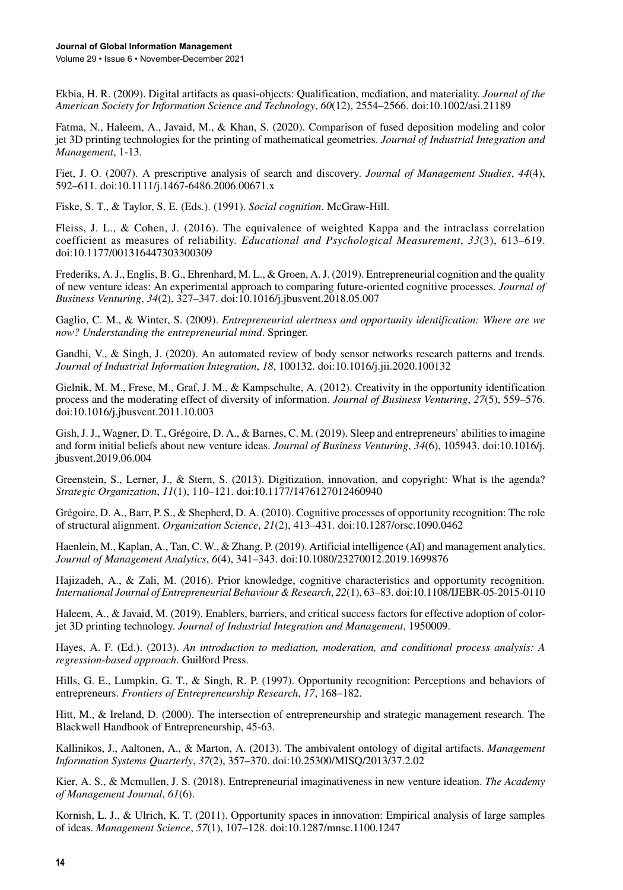Ekbia, H. R. (2009). Digital artifacts as quasi‐objects: Qualification, mediation, and materiality. *Journal of the American Society for Information Science and Technology*, *60*(12), 2554–2566. doi:[10.1002/asi.21189](http://dx.doi.org/10.1002/asi.21189)

Fatma, N., Haleem, A., Javaid, M., & Khan, S. (2020). Comparison of fused deposition modeling and color jet 3D printing technologies for the printing of mathematical geometries. *Journal of Industrial Integration and Management*, 1-13.

Fiet, J. O. (2007). A prescriptive analysis of search and discovery. *Journal of Management Studies*, *44*(4), 592–611. doi[:10.1111/j.1467-6486.2006.00671.x](http://dx.doi.org/10.1111/j.1467-6486.2006.00671.x)

Fiske, S. T., & Taylor, S. E. (Eds.). (1991). *Social cognition*. McGraw-Hill.

Fleiss, J. L., & Cohen, J. (2016). The equivalence of weighted Kappa and the intraclass correlation coefficient as measures of reliability. *Educational and Psychological Measurement*, *33*(3), 613–619. doi[:10.1177/001316447303300309](http://dx.doi.org/10.1177/001316447303300309)

Frederiks, A. J., Englis, B. G., Ehrenhard, M. L., & Groen, A. J. (2019). Entrepreneurial cognition and the quality of new venture ideas: An experimental approach to comparing future-oriented cognitive processes. *Journal of Business Venturing*, *34*(2), 327–347. doi:[10.1016/j.jbusvent.2018.05.007](http://dx.doi.org/10.1016/j.jbusvent.2018.05.007)

Gaglio, C. M., & Winter, S. (2009). *Entrepreneurial alertness and opportunity identification: Where are we now? Understanding the entrepreneurial mind*. Springer.

Gandhi, V., & Singh, J. (2020). An automated review of body sensor networks research patterns and trends. *Journal of Industrial Information Integration*, *18*, 100132. doi[:10.1016/j.jii.2020.100132](http://dx.doi.org/10.1016/j.jii.2020.100132)

Gielnik, M. M., Frese, M., Graf, J. M., & Kampschulte, A. (2012). Creativity in the opportunity identification process and the moderating effect of diversity of information. *Journal of Business Venturing*, *27*(5), 559–576. doi[:10.1016/j.jbusvent.2011.10.003](http://dx.doi.org/10.1016/j.jbusvent.2011.10.003)

Gish, J. J., Wagner, D. T., Grégoire, D. A., & Barnes, C. M. (2019). Sleep and entrepreneurs' abilities to imagine and form initial beliefs about new venture ideas. *Journal of Business Venturing*, *34*(6), 105943. doi[:10.1016/j.](http://dx.doi.org/10.1016/j.jbusvent.2019.06.004) [jbusvent.2019.06.004](http://dx.doi.org/10.1016/j.jbusvent.2019.06.004)

Greenstein, S., Lerner, J., & Stern, S. (2013). Digitization, innovation, and copyright: What is the agenda? *Strategic Organization*, *11*(1), 110–121. doi[:10.1177/1476127012460940](http://dx.doi.org/10.1177/1476127012460940)

Grégoire, D. A., Barr, P. S., & Shepherd, D. A. (2010). Cognitive processes of opportunity recognition: The role of structural alignment. *Organization Science*, *21*(2), 413–431. doi[:10.1287/orsc.1090.0462](http://dx.doi.org/10.1287/orsc.1090.0462)

Haenlein, M., Kaplan, A., Tan, C. W., & Zhang, P. (2019). Artificial intelligence (AI) and management analytics. *Journal of Management Analytics*, *6*(4), 341–343. doi[:10.1080/23270012.2019.1699876](http://dx.doi.org/10.1080/23270012.2019.1699876)

Hajizadeh, A., & Zali, M. (2016). Prior knowledge, cognitive characteristics and opportunity recognition. *International Journal of Entrepreneurial Behaviour & Research*, *22*(1), 63–83. doi:[10.1108/IJEBR-05-2015-0110](http://dx.doi.org/10.1108/IJEBR-05-2015-0110)

Haleem, A., & Javaid, M. (2019). Enablers, barriers, and critical success factors for effective adoption of colorjet 3D printing technology. *Journal of Industrial Integration and Management*, 1950009.

Hayes, A. F. (Ed.). (2013). *An introduction to mediation, moderation, and conditional process analysis: A regression-based approach*. Guilford Press.

Hills, G. E., Lumpkin, G. T., & Singh, R. P. (1997). Opportunity recognition: Perceptions and behaviors of entrepreneurs. *Frontiers of Entrepreneurship Research*, *17*, 168–182.

Hitt, M., & Ireland, D. (2000). The intersection of entrepreneurship and strategic management research. The Blackwell Handbook of Entrepreneurship, 45-63.

Kallinikos, J., Aaltonen, A., & Marton, A. (2013). The ambivalent ontology of digital artifacts. *Management Information Systems Quarterly*, *37*(2), 357–370. doi:[10.25300/MISQ/2013/37.2.02](http://dx.doi.org/10.25300/MISQ/2013/37.2.02)

Kier, A. S., & Mcmullen, J. S. (2018). Entrepreneurial imaginativeness in new venture ideation. *The Academy of Management Journal*, *61*(6).

Kornish, L. J., & Ulrich, K. T. (2011). Opportunity spaces in innovation: Empirical analysis of large samples of ideas. *Management Science*, *57*(1), 107–128. doi:[10.1287/mnsc.1100.1247](http://dx.doi.org/10.1287/mnsc.1100.1247)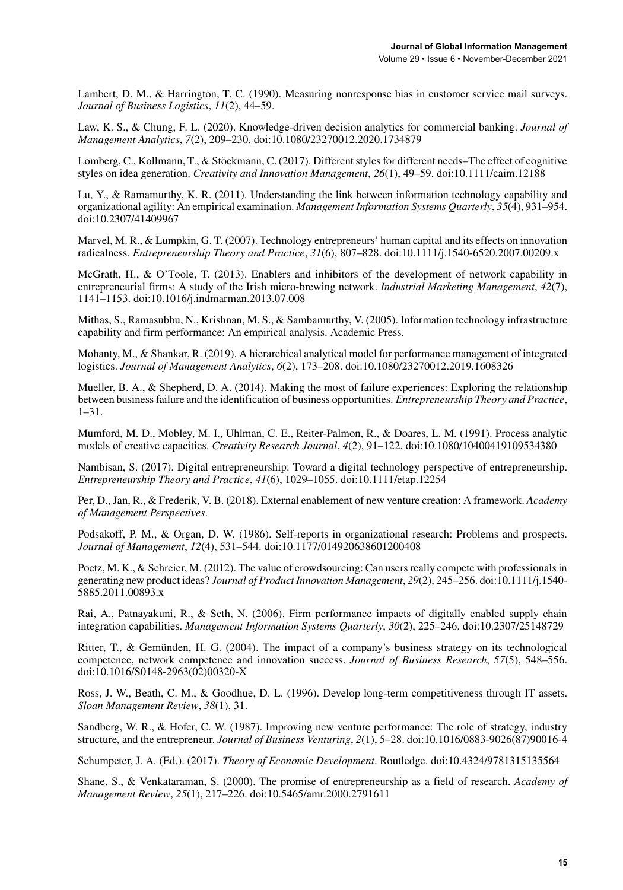Lambert, D. M., & Harrington, T. C. (1990). Measuring nonresponse bias in customer service mail surveys. *Journal of Business Logistics*, *11*(2), 44–59.

Law, K. S., & Chung, F. L. (2020). Knowledge-driven decision analytics for commercial banking. *Journal of Management Analytics*, *7*(2), 209–230. doi[:10.1080/23270012.2020.1734879](http://dx.doi.org/10.1080/23270012.2020.1734879)

Lomberg, C., Kollmann, T., & Stöckmann, C. (2017). Different styles for different needs–The effect of cognitive styles on idea generation. *Creativity and Innovation Management*, *26*(1), 49–59. doi[:10.1111/caim.12188](http://dx.doi.org/10.1111/caim.12188)

Lu, Y., & Ramamurthy, K. R. (2011). Understanding the link between information technology capability and organizational agility: An empirical examination. *Management Information Systems Quarterly*, *35*(4), 931–954. doi[:10.2307/41409967](http://dx.doi.org/10.2307/41409967)

Marvel, M. R., & Lumpkin, G. T. (2007). Technology entrepreneurs' human capital and its effects on innovation radicalness. *Entrepreneurship Theory and Practice*, *31*(6), 807–828. doi[:10.1111/j.1540-6520.2007.00209.x](http://dx.doi.org/10.1111/j.1540-6520.2007.00209.x)

McGrath, H., & O'Toole, T. (2013). Enablers and inhibitors of the development of network capability in entrepreneurial firms: A study of the Irish micro-brewing network. *Industrial Marketing Management*, *42*(7), 1141–1153. doi[:10.1016/j.indmarman.2013.07.008](http://dx.doi.org/10.1016/j.indmarman.2013.07.008)

Mithas, S., Ramasubbu, N., Krishnan, M. S., & Sambamurthy, V. (2005). Information technology infrastructure capability and firm performance: An empirical analysis. Academic Press.

Mohanty, M., & Shankar, R. (2019). A hierarchical analytical model for performance management of integrated logistics. *Journal of Management Analytics*, *6*(2), 173–208. doi[:10.1080/23270012.2019.1608326](http://dx.doi.org/10.1080/23270012.2019.1608326)

Mueller, B. A., & Shepherd, D. A. (2014). Making the most of failure experiences: Exploring the relationship between business failure and the identification of business opportunities. *Entrepreneurship Theory and Practice*, 1–31.

Mumford, M. D., Mobley, M. I., Uhlman, C. E., Reiter-Palmon, R., & Doares, L. M. (1991). Process analytic models of creative capacities. *Creativity Research Journal*, *4*(2), 91–122. doi[:10.1080/10400419109534380](http://dx.doi.org/10.1080/10400419109534380)

Nambisan, S. (2017). Digital entrepreneurship: Toward a digital technology perspective of entrepreneurship. *Entrepreneurship Theory and Practice*, *41*(6), 1029–1055. doi:[10.1111/etap.12254](http://dx.doi.org/10.1111/etap.12254)

Per, D., Jan, R., & Frederik, V. B. (2018). External enablement of new venture creation: A framework. *Academy of Management Perspectives*.

Podsakoff, P. M., & Organ, D. W. (1986). Self-reports in organizational research: Problems and prospects. *Journal of Management*, *12*(4), 531–544. doi:[10.1177/014920638601200408](http://dx.doi.org/10.1177/014920638601200408)

Poetz, M. K., & Schreier, M. (2012). The value of crowdsourcing: Can users really compete with professionals in generating new product ideas? *Journal of Product Innovation Management*, *29*(2), 245–256. doi[:10.1111/j.1540-](http://dx.doi.org/10.1111/j.1540-5885.2011.00893.x) [5885.2011.00893.x](http://dx.doi.org/10.1111/j.1540-5885.2011.00893.x)

Rai, A., Patnayakuni, R., & Seth, N. (2006). Firm performance impacts of digitally enabled supply chain integration capabilities. *Management Information Systems Quarterly*, *30*(2), 225–246. doi[:10.2307/25148729](http://dx.doi.org/10.2307/25148729)

Ritter, T., & Gemünden, H. G. (2004). The impact of a company's business strategy on its technological competence, network competence and innovation success. *Journal of Business Research*, *57*(5), 548–556. doi:[10.1016/S0148-2963\(02\)00320-X](http://dx.doi.org/10.1016/S0148-2963(02)00320-X)

Ross, J. W., Beath, C. M., & Goodhue, D. L. (1996). Develop long-term competitiveness through IT assets. *Sloan Management Review*, *38*(1), 31.

Sandberg, W. R., & Hofer, C. W. (1987). Improving new venture performance: The role of strategy, industry structure, and the entrepreneur. *Journal of Business Venturing*, *2*(1), 5–28. doi[:10.1016/0883-9026\(87\)90016-4](http://dx.doi.org/10.1016/0883-9026(87)90016-4)

Schumpeter, J. A. (Ed.). (2017). *Theory of Economic Development*. Routledge. doi:[10.4324/9781315135564](http://dx.doi.org/10.4324/9781315135564)

Shane, S., & Venkataraman, S. (2000). The promise of entrepreneurship as a field of research. *Academy of Management Review*, *25*(1), 217–226. doi[:10.5465/amr.2000.2791611](http://dx.doi.org/10.5465/amr.2000.2791611)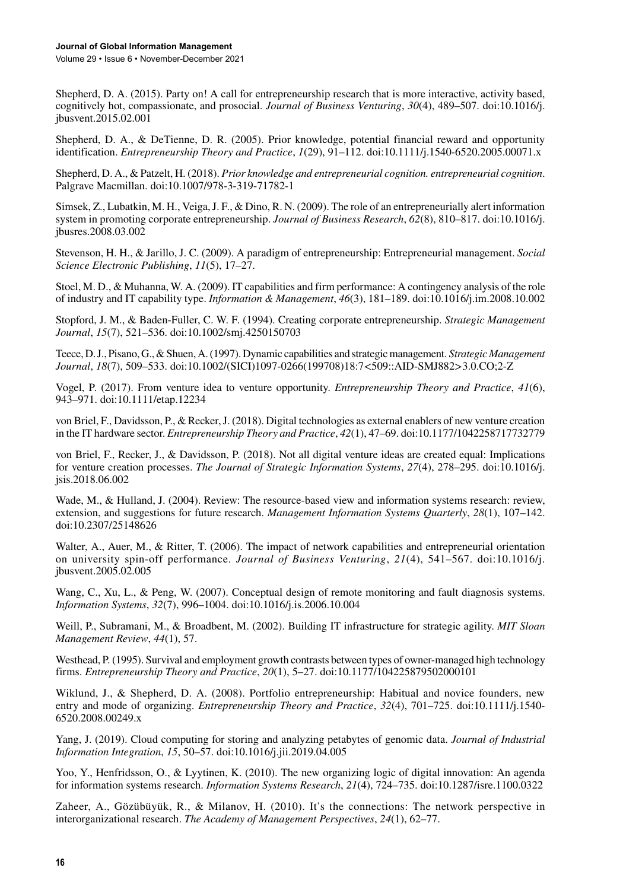Volume 29 • Issue 6 • November-December 2021

Shepherd, D. A. (2015). Party on! A call for entrepreneurship research that is more interactive, activity based, cognitively hot, compassionate, and prosocial. *Journal of Business Venturing*, *30*(4), 489–507. doi[:10.1016/j.](http://dx.doi.org/10.1016/j.jbusvent.2015.02.001) [jbusvent.2015.02.001](http://dx.doi.org/10.1016/j.jbusvent.2015.02.001)

Shepherd, D. A., & DeTienne, D. R. (2005). Prior knowledge, potential financial reward and opportunity identification. *Entrepreneurship Theory and Practice*, *1*(29), 91–112. doi:[10.1111/j.1540-6520.2005.00071.x](http://dx.doi.org/10.1111/j.1540-6520.2005.00071.x)

Shepherd, D. A., & Patzelt, H. (2018). *Prior knowledge and entrepreneurial cognition. entrepreneurial cognition*. Palgrave Macmillan. doi:[10.1007/978-3-319-71782-1](http://dx.doi.org/10.1007/978-3-319-71782-1)

Simsek, Z., Lubatkin, M. H., Veiga, J. F., & Dino, R. N. (2009). The role of an entrepreneurially alert information system in promoting corporate entrepreneurship. *Journal of Business Research*, *62*(8), 810–817. doi[:10.1016/j.](http://dx.doi.org/10.1016/j.jbusres.2008.03.002) [jbusres.2008.03.002](http://dx.doi.org/10.1016/j.jbusres.2008.03.002)

Stevenson, H. H., & Jarillo, J. C. (2009). A paradigm of entrepreneurship: Entrepreneurial management. *Social Science Electronic Publishing*, *11*(5), 17–27.

Stoel, M. D., & Muhanna, W. A. (2009). IT capabilities and firm performance: A contingency analysis of the role of industry and IT capability type. *Information & Management*, *46*(3), 181–189. doi:[10.1016/j.im.2008.10.002](http://dx.doi.org/10.1016/j.im.2008.10.002)

Stopford, J. M., & Baden-Fuller, C. W. F. (1994). Creating corporate entrepreneurship. *Strategic Management Journal*, *15*(7), 521–536. doi:[10.1002/smj.4250150703](http://dx.doi.org/10.1002/smj.4250150703)

Teece, D. J., Pisano, G., & Shuen, A. (1997). Dynamic capabilities and strategic management. *Strategic Management Journal*, *18*(7), 509–533. doi:[10.1002/\(SICI\)1097-0266\(199708\)18:7<509::AID-SMJ882>3.0.CO;2-Z](http://dx.doi.org/10.1002/(SICI)1097-0266(199708)18:7<509::AID-SMJ882>3.0.CO;2-Z)

Vogel, P. (2017). From venture idea to venture opportunity. *Entrepreneurship Theory and Practice*, *41*(6), 943–971. doi[:10.1111/etap.12234](http://dx.doi.org/10.1111/etap.12234)

von Briel, F., Davidsson, P., & Recker, J. (2018). Digital technologies as external enablers of new venture creation in the IT hardware sector. *Entrepreneurship Theory and Practice*, *42*(1), 47–69. doi[:10.1177/1042258717732779](http://dx.doi.org/10.1177/1042258717732779)

von Briel, F., Recker, J., & Davidsson, P. (2018). Not all digital venture ideas are created equal: Implications for venture creation processes. *The Journal of Strategic Information Systems*, *27*(4), 278–295. doi[:10.1016/j.](http://dx.doi.org/10.1016/j.jsis.2018.06.002) [jsis.2018.06.002](http://dx.doi.org/10.1016/j.jsis.2018.06.002)

Wade, M., & Hulland, J. (2004). Review: The resource-based view and information systems research: review, extension, and suggestions for future research. *Management Information Systems Quarterly*, *28*(1), 107–142. doi[:10.2307/25148626](http://dx.doi.org/10.2307/25148626)

Walter, A., Auer, M., & Ritter, T. (2006). The impact of network capabilities and entrepreneurial orientation on university spin-off performance. *Journal of Business Venturing*, *21*(4), 541–567. doi:[10.1016/j.](http://dx.doi.org/10.1016/j.jbusvent.2005.02.005) [jbusvent.2005.02.005](http://dx.doi.org/10.1016/j.jbusvent.2005.02.005)

Wang, C., Xu, L., & Peng, W. (2007). Conceptual design of remote monitoring and fault diagnosis systems. *Information Systems*, *32*(7), 996–1004. doi:[10.1016/j.is.2006.10.004](http://dx.doi.org/10.1016/j.is.2006.10.004)

Weill, P., Subramani, M., & Broadbent, M. (2002). Building IT infrastructure for strategic agility. *MIT Sloan Management Review*, *44*(1), 57.

Westhead, P. (1995). Survival and employment growth contrasts between types of owner-managed high technology firms. *Entrepreneurship Theory and Practice*, *20*(1), 5–27. doi:[10.1177/104225879502000101](http://dx.doi.org/10.1177/104225879502000101)

Wiklund, J., & Shepherd, D. A. (2008). Portfolio entrepreneurship: Habitual and novice founders, new entry and mode of organizing. *Entrepreneurship Theory and Practice*, *32*(4), 701–725. doi[:10.1111/j.1540-](http://dx.doi.org/10.1111/j.1540-6520.2008.00249.x) [6520.2008.00249.x](http://dx.doi.org/10.1111/j.1540-6520.2008.00249.x)

Yang, J. (2019). Cloud computing for storing and analyzing petabytes of genomic data. *Journal of Industrial Information Integration*, *15*, 50–57. doi[:10.1016/j.jii.2019.04.005](http://dx.doi.org/10.1016/j.jii.2019.04.005)

Yoo, Y., Henfridsson, O., & Lyytinen, K. (2010). The new organizing logic of digital innovation: An agenda for information systems research. *Information Systems Research*, *21*(4), 724–735. doi[:10.1287/isre.1100.0322](http://dx.doi.org/10.1287/isre.1100.0322)

Zaheer, A., Gözübüyük, R., & Milanov, H. (2010). It's the connections: The network perspective in interorganizational research. *The Academy of Management Perspectives*, *24*(1), 62–77.